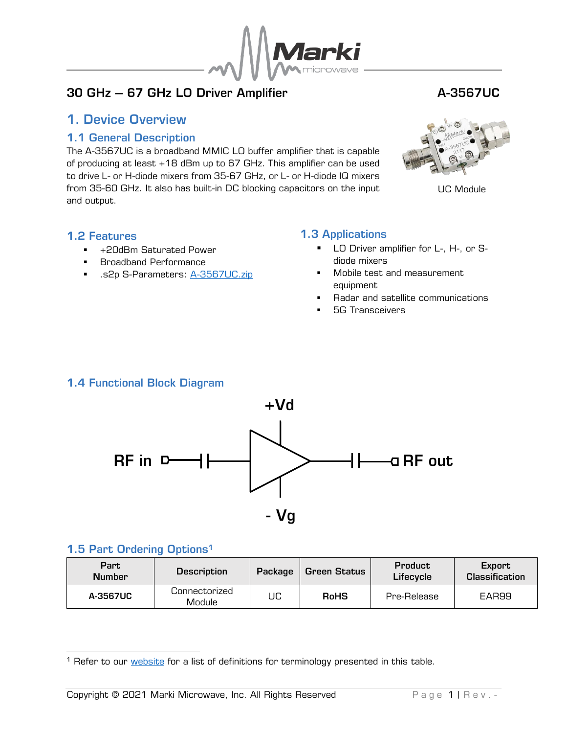

## 30 GHz – 67 GHz LO Driver Amplifier **A-3567UC**

## <span id="page-0-0"></span>1. Device Overview

#### 1.1 General Description

<span id="page-0-1"></span>The A-3567UC is a broadband MMIC LO buffer amplifier that is capable of producing at least +18 dBm up to 67 GHz. This amplifier can be used to drive L- or H-diode mixers from 35-67 GHz, or L- or H-diode IQ mixers from 35-60 GHz. It also has built-in DC blocking capacitors on the input and output.



UC Module

#### <span id="page-0-2"></span>1.2 Features

- +20dBm Saturated Power
- Broadband Performance
- **■** .s2p S-Parameters: <u>[A-3567UC.zip](http://www.markimicrowave.com/assets/data/A-3567UC.zip)</u>

## <span id="page-0-3"></span>1.3 Applications

- LO Driver amplifier for L-, H-, or Sdiode mixers
- Mobile test and measurement equipment
- Radar and satellite communications
- **5G Transceivers**

## <span id="page-0-4"></span>1.4 Functional Block Diagram



#### <span id="page-0-5"></span>1.5 Part Ordering Options<sup>1</sup>

| Part<br><b>Number</b> | <b>Description</b>      | Package | Green Status | <b>Product</b><br>Lifecycle | Export<br><b>Classification</b> |
|-----------------------|-------------------------|---------|--------------|-----------------------------|---------------------------------|
| A-3567UC              | Connectorized<br>Module | UC      | <b>RoHS</b>  | Pre-Release                 | EAR99                           |

<sup>&</sup>lt;sup>1</sup> Refer to our [website](http://www.markimicrowave.com/Assets/appnotes/Datasheet_Product_Status_Information.pdf) for a list of definitions for terminology presented in this table.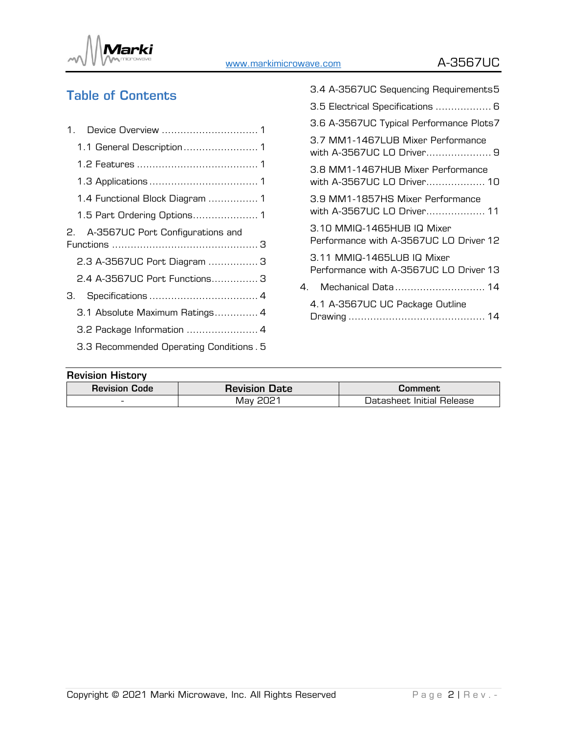

# Table of Contents

|    | 1.4 Functional Block Diagram  1         |  |
|----|-----------------------------------------|--|
|    |                                         |  |
|    | 2. A-3567UC Port Configurations and     |  |
|    |                                         |  |
|    | 2.3 A-3567UC Port Diagram  3            |  |
|    | 2.4 A-3567UC Port Functions 3           |  |
| З. |                                         |  |
|    | 3.1 Absolute Maximum Ratings 4          |  |
|    | 3.2 Package Information  4              |  |
|    | 3.3 Recommended Operating Conditions. 5 |  |

| <b>Revision History</b> |                      |                           |
|-------------------------|----------------------|---------------------------|
| <b>Revision Code</b>    | <b>Revision Date</b> | Comment                   |
| -                       | Mav 2021             | Datasheet Initial Release |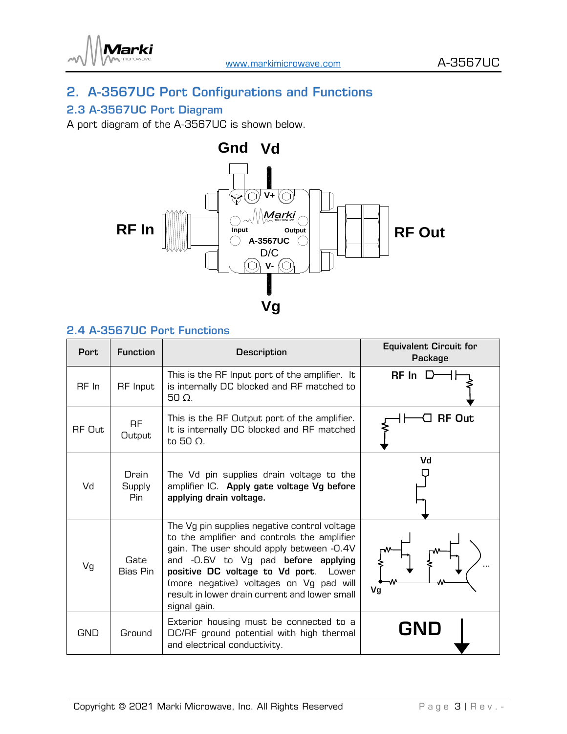

## <span id="page-2-0"></span>2. A-3567UC Port Configurations and Functions

## <span id="page-2-1"></span>2.3 A-3567UC Port Diagram

A port diagram of the A-3567UC is shown below.



## <span id="page-2-2"></span>2.4 A-3567UC Port Functions

| <b>Port</b> | <b>Function</b>         | <b>Description</b>                                                                                                                                                                                                                                                                                                                   | <b>Equivalent Circuit for</b><br>Package |
|-------------|-------------------------|--------------------------------------------------------------------------------------------------------------------------------------------------------------------------------------------------------------------------------------------------------------------------------------------------------------------------------------|------------------------------------------|
| RF In       | RF Input                | This is the RF Input port of the amplifier. It<br>is internally DC blocked and RF matched to<br>$50 \Omega$ .                                                                                                                                                                                                                        | RF In                                    |
| RF Out      | <b>RF</b><br>Output     | This is the RF Output port of the amplifier.<br>It is internally DC blocked and RF matched<br>to 50 $\Omega$ .                                                                                                                                                                                                                       | <b>RF Out</b>                            |
| Vd          | Drain<br>Supply<br>Pin. | The Vd pin supplies drain voltage to the<br>amplifier IC. Apply gate voltage Vg before<br>applying drain voltage.                                                                                                                                                                                                                    | Vd                                       |
| Vg          | Gate<br>Bias Pin        | The Vg pin supplies negative control voltage<br>to the amplifier and controls the amplifier<br>gain. The user should apply between -0.4V<br>and -0.6V to Vg pad before applying<br>positive DC voltage to Vd port. Lower<br>(more negative) voltages on Vg pad will<br>result in lower drain current and lower small<br>signal gain. | Vg                                       |
| GND         | Ground                  | Exterior housing must be connected to a<br>DC/RF ground potential with high thermal<br>and electrical conductivity.                                                                                                                                                                                                                  | <b>GND</b>                               |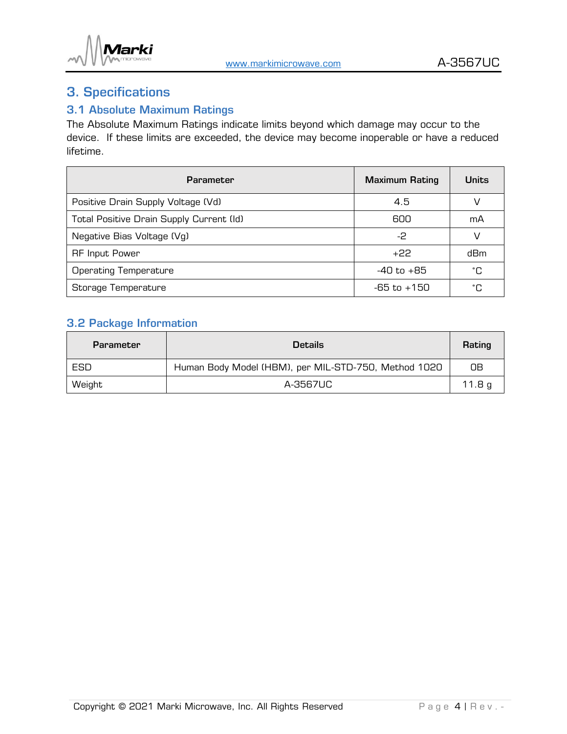

## <span id="page-3-0"></span>3. Specifications

## <span id="page-3-1"></span>3.1 Absolute Maximum Ratings

The Absolute Maximum Ratings indicate limits beyond which damage may occur to the device. If these limits are exceeded, the device may become inoperable or have a reduced lifetime.

| <b>Parameter</b>                         | <b>Maximum Rating</b> | <b>Units</b> |
|------------------------------------------|-----------------------|--------------|
| Positive Drain Supply Voltage (Vd)       | 4.5                   | V            |
| Total Positive Drain Supply Current (Id) | 600                   | mA           |
| Negative Bias Voltage (Vg)               | -2                    | V            |
| <b>RF Input Power</b>                    | $+22$                 | dBm          |
| <b>Operating Temperature</b>             | -40 to +85            | ۰C           |
| Storage Temperature                      | $-65$ to $+150$       | ۰C           |

## <span id="page-3-2"></span>3.2 Package Information

| Parameter | <b>Details</b>                                       | Rating            |
|-----------|------------------------------------------------------|-------------------|
| ESD       | Human Body Model (HBM), per MIL-STD-750, Method 1020 | OΒ                |
| Weight    | A-3567UC                                             | 11.8 <sub>g</sub> |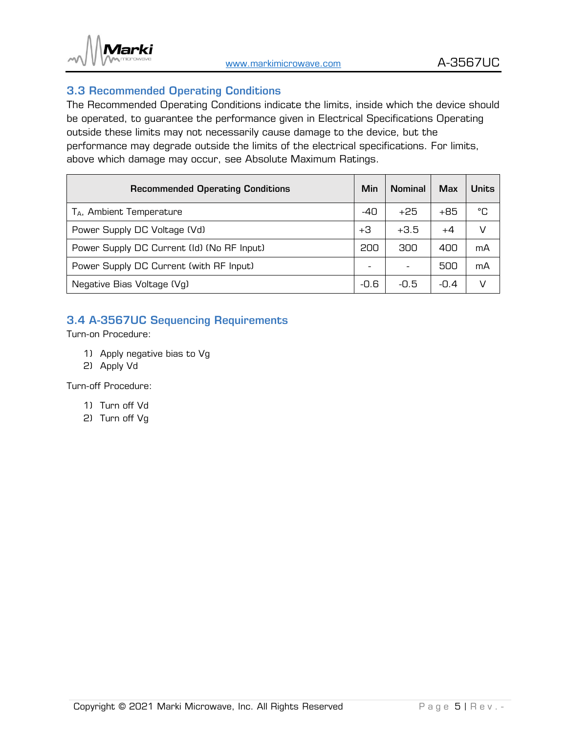

### <span id="page-4-0"></span>3.3 Recommended Operating Conditions

The Recommended Operating Conditions indicate the limits, inside which the device should be operated, to guarantee the performance given in Electrical Specifications Operating outside these limits may not necessarily cause damage to the device, but the performance may degrade outside the limits of the electrical specifications. For limits, above which damage may occur, see Absolute Maximum Ratings.

| <b>Recommended Operating Conditions</b>    | Min   | <b>Nominal</b>           | <b>Max</b> | <b>Units</b> |
|--------------------------------------------|-------|--------------------------|------------|--------------|
| T <sub>A</sub> , Ambient Temperature       | $-40$ | $+25$                    | +85        | °C           |
| Power Supply DC Voltage (Vd)               | +3    | $+3.5$                   | $+4$       | V            |
| Power Supply DC Current (Id) (No RF Input) | 200   | 300                      | 400        | mA           |
| Power Supply DC Current (with RF Input)    |       | $\overline{\phantom{a}}$ | 500        | mA           |
| Negative Bias Voltage (Vg)                 | -0.6  | -0.5                     | $-0.4$     | V            |

## <span id="page-4-1"></span>3.4 A-3567UC Sequencing Requirements

Turn-on Procedure:

- 1) Apply negative bias to Vg
- 2) Apply Vd

Turn-off Procedure:

- 1) Turn off Vd
- 2) Turn off Vg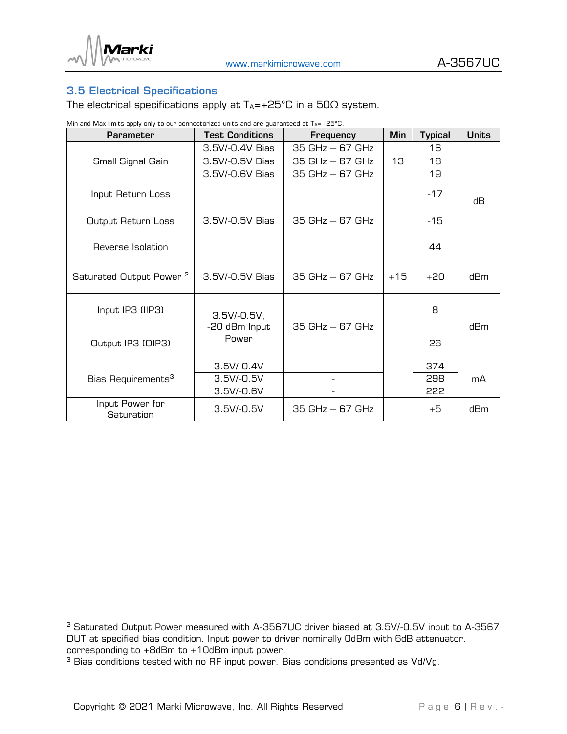

## <span id="page-5-0"></span>3.5 Electrical Specifications

The electrical specifications apply at  $T_A = +25^{\circ}C$  in a  $50\Omega$  system.

Min and Max limits apply only to our connectorized units and are guaranteed at  $T_A=+25^{\circ}$ C.

| Parameter                           | <b>Test Conditions</b>         | Frequency         | <b>Min</b> | <b>Typical</b> | <b>Units</b> |  |
|-------------------------------------|--------------------------------|-------------------|------------|----------------|--------------|--|
|                                     | 3.5V/-0.4V Bias                | $35 GHz - 67 GHz$ |            | 16             |              |  |
| Small Signal Gain                   | 3.5V/-0.5V Bias                | $35 GHz - 67 GHz$ | 13         | 18             |              |  |
|                                     | 3.5V/-0.6V Bias                | $35 GHz - 67 GHz$ |            | 19             |              |  |
| Input Return Loss                   |                                |                   |            | $-17$          | dВ           |  |
| Output Return Loss                  | 3.5V/-0.5V Bias                | $35 GHz - 67 GHz$ |            | $-15$          |              |  |
| Reverse Isolation                   |                                |                   |            | 44             |              |  |
| Saturated Output Power <sup>2</sup> | 3.5V/-0.5V Bias                | $35 GHz - 67 GHz$ | $+15$      | $+20$          | dBm          |  |
| Input IP3 (IIP3)                    | $3.5V/-0.5V,$<br>-20 dBm Input | $35 GHz - 67 GHz$ |            | 8              | dBm          |  |
| Output IP3 (OIP3)                   | Power                          |                   |            | 26             |              |  |
|                                     | $3.5V/-0.4V$                   |                   |            | 374            |              |  |
| Bias Requirements <sup>3</sup>      | $3.5V/-0.5V$                   |                   |            | 298            | mA           |  |
|                                     | $3.5V/-0.6V$                   |                   |            | 222            |              |  |
| Input Power for<br>Saturation       | $3.5V/-0.5V$                   | $35 GHz - 67 GHz$ |            | +5             | dBm          |  |

<sup>2</sup> Saturated Output Power measured with A-3567UC driver biased at 3.5V/-0.5V input to A-3567 DUT at specified bias condition. Input power to driver nominally 0dBm with 6dB attenuator, corresponding to +8dBm to +10dBm input power.

<sup>&</sup>lt;sup>3</sup> Bias conditions tested with no RF input power. Bias conditions presented as Vd/Vg.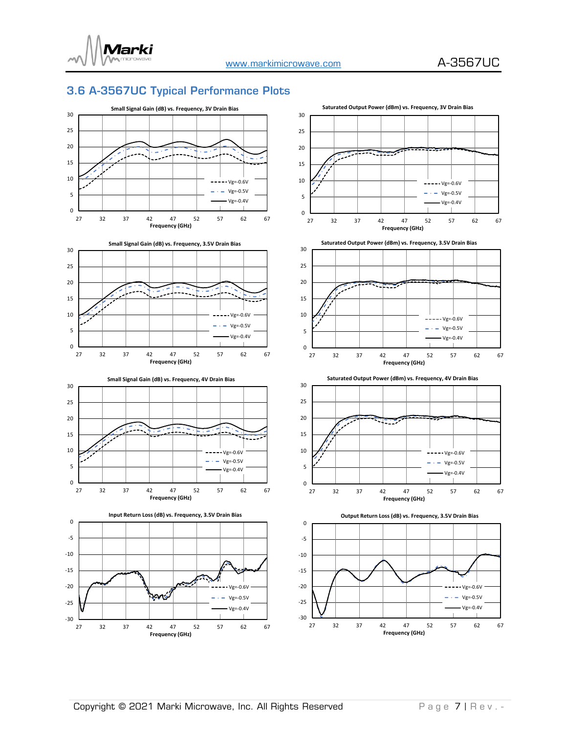

## <span id="page-6-0"></span>3.6 A-3567UC Typical Performance Plots

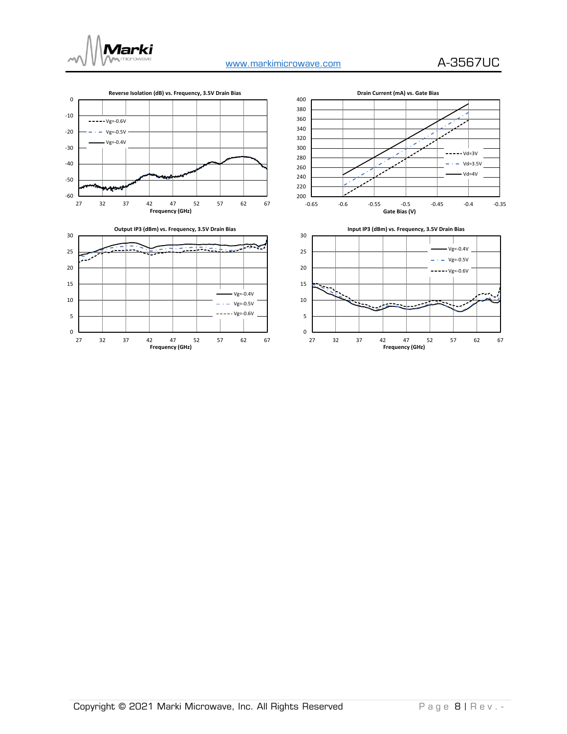

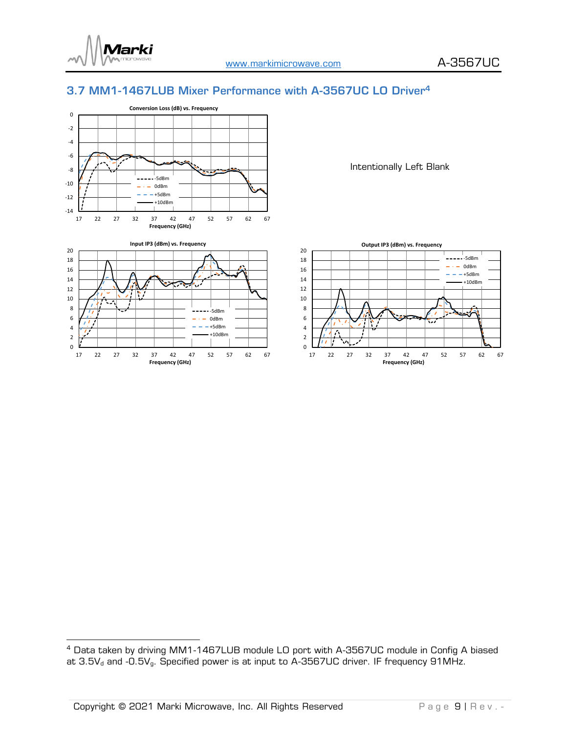

#### <span id="page-8-0"></span>3.7 MM1-1467LUB Mixer Performance with A-3567UC LO Driver<sup>4</sup>





Intentionally Left Blank



 $^4$  Data taken by driving MM1-1467LUB module LO port with A-3567UC module in Config A biased at 3.5V $_{\rm d}$  and -0.5V $_{\rm g}$ . Specified power is at input to A-3567UC driver. IF frequency 91MHz.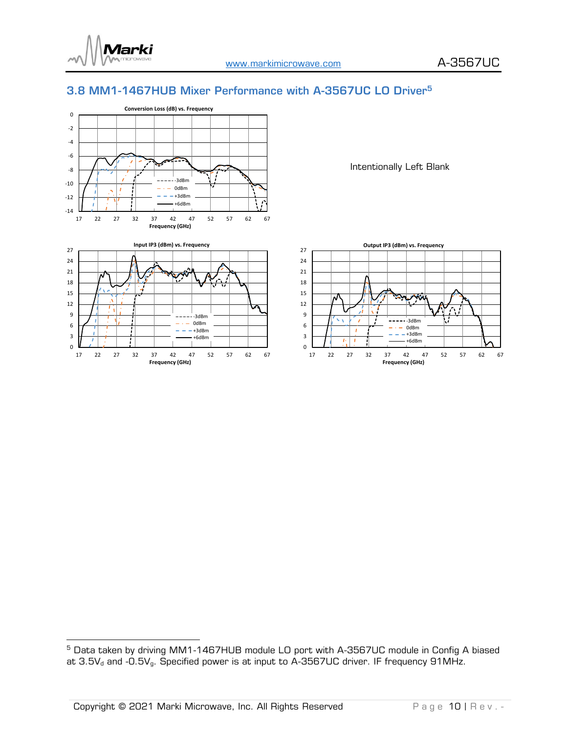

#### <span id="page-9-0"></span>3.8 MM1-1467HUB Mixer Performance with A-3567UC LO Driver<sup>5</sup>





Intentionally Left Blank



<sup>&</sup>lt;sup>5</sup> Data taken by driving MM1-1467HUB module LO port with A-3567UC module in Config A biased at 3.5V $_{\rm d}$  and -0.5V $_{\rm g}$ . Specified power is at input to A-3567UC driver. IF frequency 91MHz.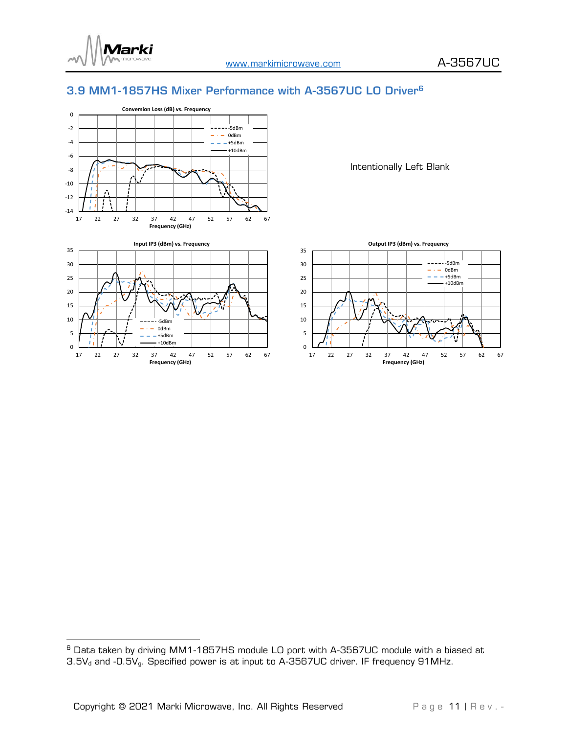

#### <span id="page-10-0"></span>3.9 MM1-1857HS Mixer Performance with A-3567UC LO Driver<sup>6</sup>





Intentionally Left Blank



 $^{\rm 6}$  Data taken by driving MM1-1857HS module LO port with A-3567UC module with a biased at 3.5V $_{\rm d}$  and -0.5V $_{\rm g}$ . Specified power is at input to A-3567UC driver. IF frequency 91MHz.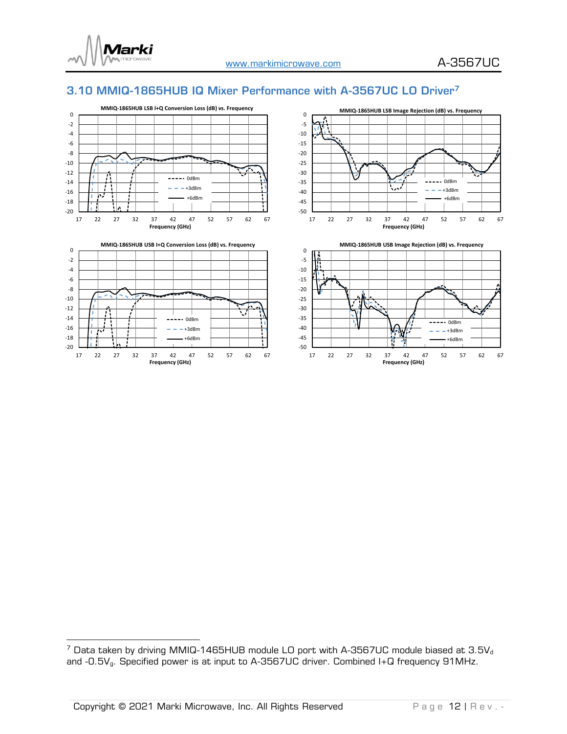

#### <span id="page-11-0"></span>3.10 MMIQ-1865HUB IQ Mixer Performance with A-3567UC LO Driver<sup>7</sup>



 $7$  Data taken by driving MMIQ-1465HUB module LO port with A-3567UC module biased at 3.5V<sub>d</sub> and -0.5Vg. Specified power is at input to A-3567UC driver. Combined I+Q frequency 91MHz.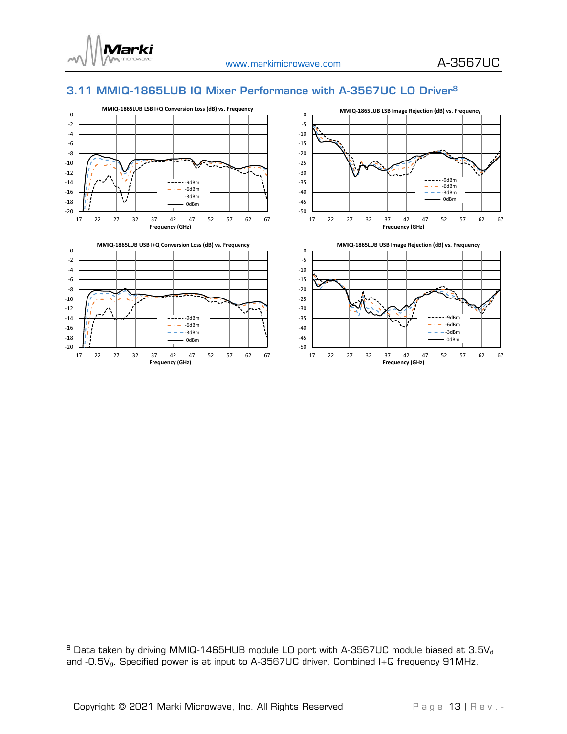

### <span id="page-12-0"></span>3.11 MMIQ-1865LUB IQ Mixer Performance with A-3567UC LO Driver<sup>8</sup>



 $^{\text{\tiny{\textregistered}}}$  Data taken by driving MMIQ-1465HUB module LO port with A-3567UC module biased at 3.5V $_{\text{\tiny{d}}}$ and -0.5V $_{\rm g}$ . Specified power is at input to A-3567UC driver. Combined I+Q frequency 91MHz.